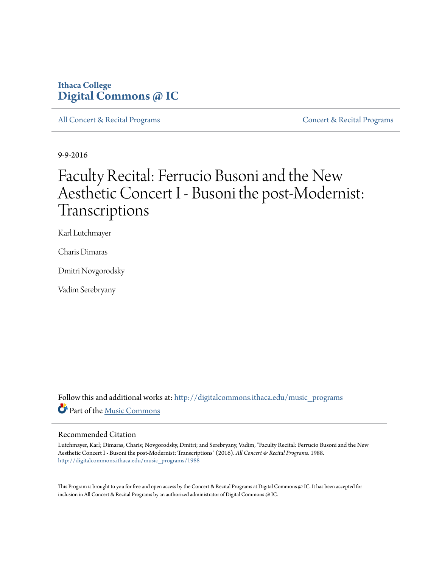## **Ithaca College [Digital Commons @ IC](http://digitalcommons.ithaca.edu?utm_source=digitalcommons.ithaca.edu%2Fmusic_programs%2F1988&utm_medium=PDF&utm_campaign=PDFCoverPages)**

[All Concert & Recital Programs](http://digitalcommons.ithaca.edu/music_programs?utm_source=digitalcommons.ithaca.edu%2Fmusic_programs%2F1988&utm_medium=PDF&utm_campaign=PDFCoverPages) **[Concert & Recital Programs](http://digitalcommons.ithaca.edu/som_programs?utm_source=digitalcommons.ithaca.edu%2Fmusic_programs%2F1988&utm_medium=PDF&utm_campaign=PDFCoverPages)** Concert & Recital Programs

9-9-2016

# Faculty Recital: Ferrucio Busoni and the New Aesthetic Concert I - Busoni the post-Modernist: Transcriptions

Karl Lutchmayer

Charis Dimaras

Dmitri Novgorodsky

Vadim Serebryany

Follow this and additional works at: [http://digitalcommons.ithaca.edu/music\\_programs](http://digitalcommons.ithaca.edu/music_programs?utm_source=digitalcommons.ithaca.edu%2Fmusic_programs%2F1988&utm_medium=PDF&utm_campaign=PDFCoverPages) Part of the [Music Commons](http://network.bepress.com/hgg/discipline/518?utm_source=digitalcommons.ithaca.edu%2Fmusic_programs%2F1988&utm_medium=PDF&utm_campaign=PDFCoverPages)

#### Recommended Citation

Lutchmayer, Karl; Dimaras, Charis; Novgorodsky, Dmitri; and Serebryany, Vadim, "Faculty Recital: Ferrucio Busoni and the New Aesthetic Concert I - Busoni the post-Modernist: Transcriptions" (2016). *All Concert & Recital Programs*. 1988. [http://digitalcommons.ithaca.edu/music\\_programs/1988](http://digitalcommons.ithaca.edu/music_programs/1988?utm_source=digitalcommons.ithaca.edu%2Fmusic_programs%2F1988&utm_medium=PDF&utm_campaign=PDFCoverPages)

This Program is brought to you for free and open access by the Concert & Recital Programs at Digital Commons @ IC. It has been accepted for inclusion in All Concert & Recital Programs by an authorized administrator of Digital Commons @ IC.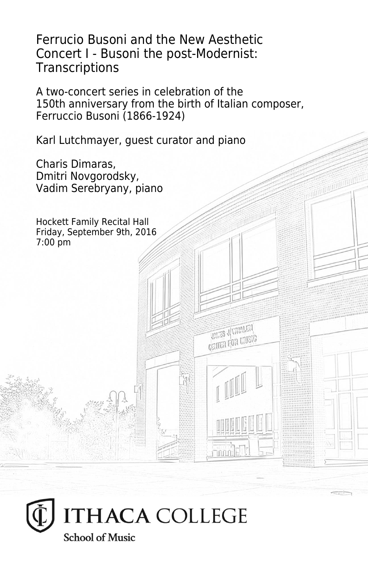Ferrucio Busoni and the New Aesthetic Concert I - Busoni the post-Modernist: **Transcriptions** 

A two-concert series in celebration of the 150th anniversary from the birth of Italian composer, Ferruccio Busoni (1866-1924)

> **UNITED** SUMMARY **CRITER FOR LIVEIG**

Karl Lutchmayer, guest curator and piano

Charis Dimaras, Dmitri Novgorodsky, Vadim Serebryany, piano

Hockett Family Recital Hall Friday, September 9th, 2016 7:00 pm